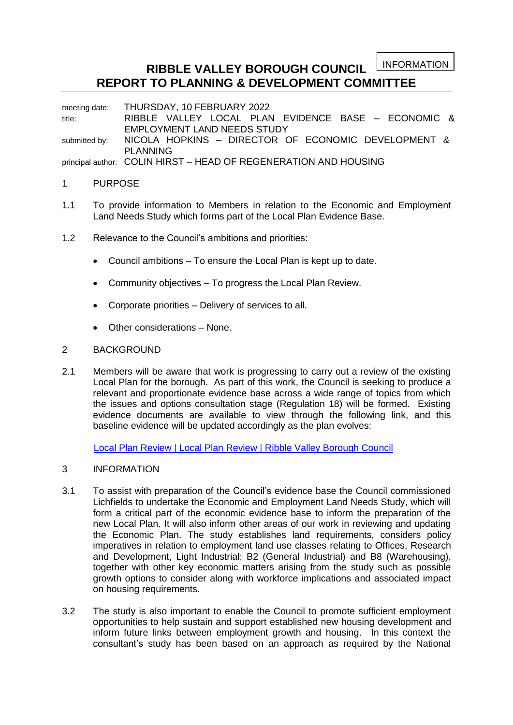INFORMATION

# **RIBBLE VALLEY BOROUGH COUNCIL REPORT TO PLANNING & DEVELOPMENT COMMITTEE**

meeting date: THURSDAY, 10 FEBRUARY 2022 title: RIBBLE VALLEY LOCAL PLAN EVIDENCE BASE – ECONOMIC & EMPLOYMENT LAND NEEDS STUDY submitted by: NICOLA HOPKINS - DIRECTOR OF ECONOMIC DEVELOPMENT & PLANNING

principal author: COLIN HIRST – HEAD OF REGENERATION AND HOUSING

## 1 PURPOSE

- 1.1 To provide information to Members in relation to the Economic and Employment Land Needs Study which forms part of the Local Plan Evidence Base.
- 1.2 Relevance to the Council's ambitions and priorities:
	- Council ambitions To ensure the Local Plan is kept up to date.
	- Community objectives To progress the Local Plan Review.
	- Corporate priorities Delivery of services to all.
	- Other considerations None.

## 2 BACKGROUND

2.1 Members will be aware that work is progressing to carry out a review of the existing Local Plan for the borough. As part of this work, the Council is seeking to produce a relevant and proportionate evidence base across a wide range of topics from which the issues and options consultation stage (Regulation 18) will be formed. Existing evidence documents are available to view through the following link, and this baseline evidence will be updated accordingly as the plan evolves:

[Local Plan Review | Local Plan Review | Ribble Valley Borough Council](https://www.ribblevalley.gov.uk/info/200364/planning_policy/1732/evidence_updates_2019_onwards)

- 3 INFORMATION
- 3.1 To assist with preparation of the Council's evidence base the Council commissioned Lichfields to undertake the Economic and Employment Land Needs Study, which will form a critical part of the economic evidence base to inform the preparation of the new Local Plan. It will also inform other areas of our work in reviewing and updating the Economic Plan. The study establishes land requirements, considers policy imperatives in relation to employment land use classes relating to Offices, Research and Development, Light Industrial; B2 (General Industrial) and B8 (Warehousing), together with other key economic matters arising from the study such as possible growth options to consider along with workforce implications and associated impact on housing requirements.
- 3.2 The study is also important to enable the Council to promote sufficient employment opportunities to help sustain and support established new housing development and inform future links between employment growth and housing. In this context the consultant's study has been based on an approach as required by the National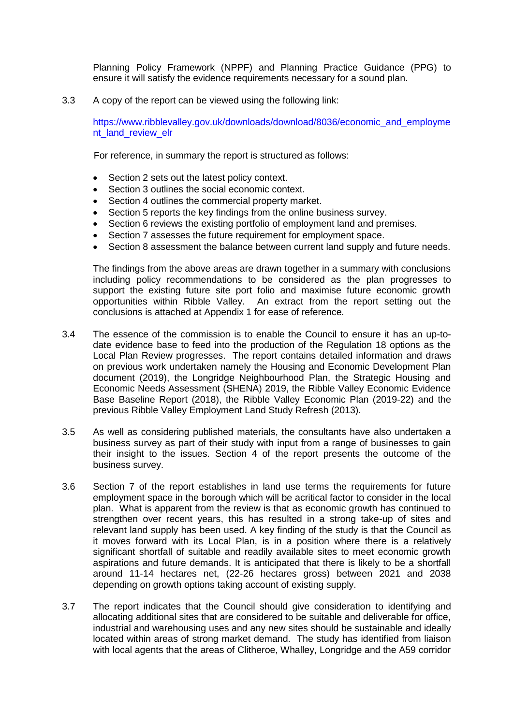Planning Policy Framework (NPPF) and Planning Practice Guidance (PPG) to ensure it will satisfy the evidence requirements necessary for a sound plan.

3.3 A copy of the report can be viewed using the following link:

[https://www.ribblevalley.gov.uk/downloads/download/8036/economic\\_and\\_employme](https://www.ribblevalley.gov.uk/downloads/download/8036/economic_and_employment_land_review_elr) [nt\\_land\\_review\\_elr](https://www.ribblevalley.gov.uk/downloads/download/8036/economic_and_employment_land_review_elr)

For reference, in summary the report is structured as follows:

- Section 2 sets out the latest policy context.
- Section 3 outlines the social economic context.
- Section 4 outlines the commercial property market.
- Section 5 reports the key findings from the online business survey.
- Section 6 reviews the existing portfolio of employment land and premises.
- Section 7 assesses the future requirement for employment space.
- Section 8 assessment the balance between current land supply and future needs.

The findings from the above areas are drawn together in a summary with conclusions including policy recommendations to be considered as the plan progresses to support the existing future site port folio and maximise future economic growth opportunities within Ribble Valley. An extract from the report setting out the conclusions is attached at Appendix 1 for ease of reference.

- 3.4 The essence of the commission is to enable the Council to ensure it has an up-todate evidence base to feed into the production of the Regulation 18 options as the Local Plan Review progresses. The report contains detailed information and draws on previous work undertaken namely the Housing and Economic Development Plan document (2019), the Longridge Neighbourhood Plan, the Strategic Housing and Economic Needs Assessment (SHENA) 2019, the Ribble Valley Economic Evidence Base Baseline Report (2018), the Ribble Valley Economic Plan (2019-22) and the previous Ribble Valley Employment Land Study Refresh (2013).
- 3.5 As well as considering published materials, the consultants have also undertaken a business survey as part of their study with input from a range of businesses to gain their insight to the issues. Section 4 of the report presents the outcome of the business survey.
- 3.6 Section 7 of the report establishes in land use terms the requirements for future employment space in the borough which will be acritical factor to consider in the local plan. What is apparent from the review is that as economic growth has continued to strengthen over recent years, this has resulted in a strong take-up of sites and relevant land supply has been used. A key finding of the study is that the Council as it moves forward with its Local Plan, is in a position where there is a relatively significant shortfall of suitable and readily available sites to meet economic growth aspirations and future demands. It is anticipated that there is likely to be a shortfall around 11-14 hectares net, (22-26 hectares gross) between 2021 and 2038 depending on growth options taking account of existing supply.
- 3.7 The report indicates that the Council should give consideration to identifying and allocating additional sites that are considered to be suitable and deliverable for office, industrial and warehousing uses and any new sites should be sustainable and ideally located within areas of strong market demand. The study has identified from liaison with local agents that the areas of Clitheroe, Whalley, Longridge and the A59 corridor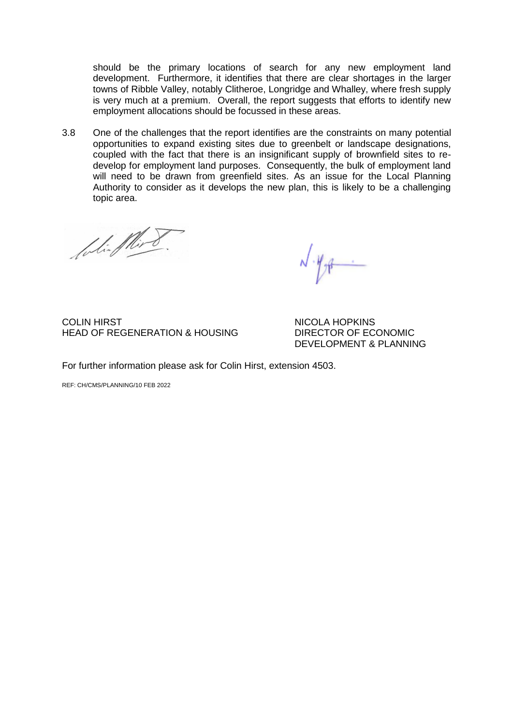should be the primary locations of search for any new employment land development. Furthermore, it identifies that there are clear shortages in the larger towns of Ribble Valley, notably Clitheroe, Longridge and Whalley, where fresh supply is very much at a premium. Overall, the report suggests that efforts to identify new employment allocations should be focussed in these areas.

3.8 One of the challenges that the report identifies are the constraints on many potential opportunities to expand existing sites due to greenbelt or landscape designations, coupled with the fact that there is an insignificant supply of brownfield sites to redevelop for employment land purposes. Consequently, the bulk of employment land will need to be drawn from greenfield sites. As an issue for the Local Planning Authority to consider as it develops the new plan, this is likely to be a challenging topic area.

foliaflind

 $\sqrt{\frac{4}{\pi}}$ 

COLIN HIRST NICOLA HOPKINS HEAD OF REGENERATION & HOUSING DIRECTOR OF ECONOMIC

DEVELOPMENT & PLANNING

For further information please ask for Colin Hirst, extension 4503.

REF: CH/CMS/PLANNING/10 FEB 2022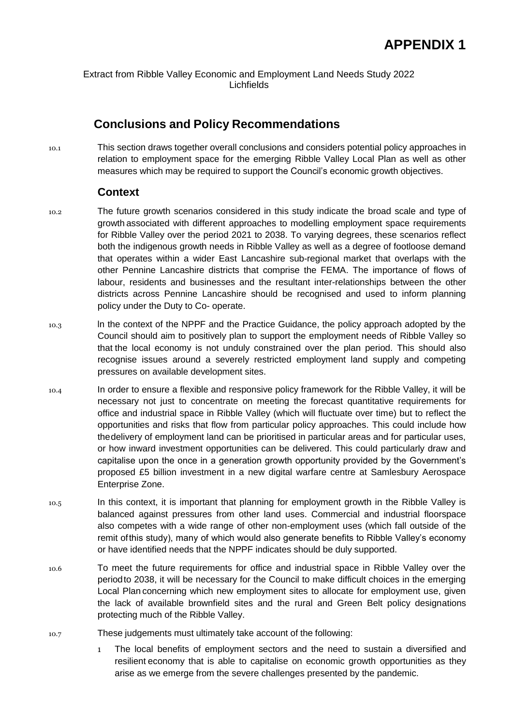Extract from Ribble Valley Economic and Employment Land Needs Study 2022 Lichfields

# **Conclusions and Policy Recommendations**

10.1 This section draws together overall conclusions and considers potential policy approaches in relation to employment space for the emerging Ribble Valley Local Plan as well as other measures which may be required to support the Council's economic growth objectives.

## **Context**

- 10.2 The future growth scenarios considered in this study indicate the broad scale and type of growth associated with different approaches to modelling employment space requirements for Ribble Valley over the period 2021 to 2038. To varying degrees, these scenarios reflect both the indigenous growth needs in Ribble Valley as well as a degree of footloose demand that operates within a wider East Lancashire sub-regional market that overlaps with the other Pennine Lancashire districts that comprise the FEMA. The importance of flows of labour, residents and businesses and the resultant inter-relationships between the other districts across Pennine Lancashire should be recognised and used to inform planning policy under the Duty to Co- operate.
- 10.3 ln the context of the NPPF and the Practice Guidance, the policy approach adopted by the Council should aim to positively plan to support the employment needs of Ribble Valley so that the local economy is not unduly constrained over the plan period. This should also recognise issues around a severely restricted employment land supply and competing pressures on available development sites.
- 10.4 In order to ensure a flexible and responsive policy framework for the Ribble Valley, it will be necessary not just to concentrate on meeting the forecast quantitative requirements for office and industrial space in Ribble Valley (which will fluctuate over time) but to reflect the opportunities and risks that flow from particular policy approaches. This could include how thedelivery of employment land can be prioritised in particular areas and for particular uses, or how inward investment opportunities can be delivered. This could particularly draw and capitalise upon the once in a generation growth opportunity provided by the Government's proposed £5 billion investment in a new digital warfare centre at Samlesbury Aerospace Enterprise Zone.
- 10.5 In this context, it is important that planning for employment growth in the Ribble Valley is balanced against pressures from other land uses. Commercial and industrial floorspace also competes with a wide range of other non-employment uses (which fall outside of the remit ofthis study), many of which would also generate benefits to Ribble Valley's economy or have identified needs that the NPPF indicates should be duly supported.
- 10.6 To meet the future requirements for office and industrial space in Ribble Valley over the periodto 2038, it will be necessary for the Council to make difficult choices in the emerging Local Plan concerning which new employment sites to allocate for employment use, given the lack of available brownfield sites and the rural and Green Belt policy designations protecting much of the Ribble Valley.
- 10.7 These judgements must ultimately take account of the following:
	- 1 The local benefits of employment sectors and the need to sustain a diversified and resilient economy that is able to capitalise on economic growth opportunities as they arise as we emerge from the severe challenges presented by the pandemic.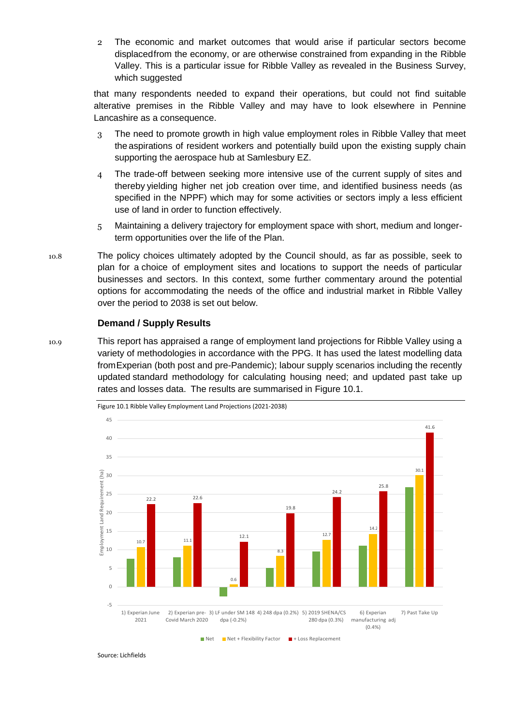2 The economic and market outcomes that would arise if particular sectors become displacedfrom the economy, or are otherwise constrained from expanding in the Ribble Valley. This is a particular issue for Ribble Valley as revealed in the Business Survey, which suggested

that many respondents needed to expand their operations, but could not find suitable alterative premises in the Ribble Valley and may have to look elsewhere in Pennine Lancashire as a consequence.

- 3 The need to promote growth in high value employment roles in Ribble Valley that meet the aspirations of resident workers and potentially build upon the existing supply chain supporting the aerospace hub at Samlesbury EZ.
- 4 The trade-off between seeking more intensive use of the current supply of sites and thereby yielding higher net job creation over time, and identified business needs (as specified in the NPPF) which may for some activities or sectors imply a less efficient use of land in order to function effectively.
- 5 Maintaining a delivery trajectory for employment space with short, medium and longerterm opportunities over the life of the Plan.
- 10.8 The policy choices ultimately adopted by the Council should, as far as possible, seek to plan for a choice of employment sites and locations to support the needs of particular businesses and sectors. In this context, some further commentary around the potential options for accommodating the needs of the office and industrial market in Ribble Valley over the period to 2038 is set out below.

#### **Demand / Supply Results**

10.9 This report has appraised a range of employment land projections for Ribble Valley using a variety of methodologies in accordance with the PPG. It has used the latest modelling data fromExperian (both post and pre-Pandemic); labour supply scenarios including the recently updated standard methodology for calculating housing need; and updated past take up rates and losses data. The results are summarised in [Figure 10.1.](#page-4-0)

<span id="page-4-0"></span>

Source: Lichfields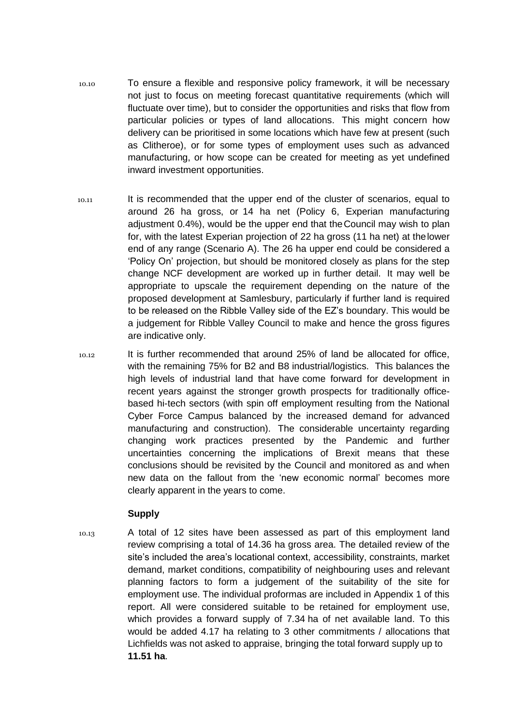- 10.10 To ensure a flexible and responsive policy framework, it will be necessary not just to focus on meeting forecast quantitative requirements (which will fluctuate over time), but to consider the opportunities and risks that flow from particular policies or types of land allocations. This might concern how delivery can be prioritised in some locations which have few at present (such as Clitheroe), or for some types of employment uses such as advanced manufacturing, or how scope can be created for meeting as yet undefined inward investment opportunities.
- 10.11 It is recommended that the upper end of the cluster of scenarios, equal to around 26 ha gross, or 14 ha net (Policy 6, Experian manufacturing adjustment 0.4%), would be the upper end that theCouncil may wish to plan for, with the latest Experian projection of 22 ha gross (11 ha net) at thelower end of any range (Scenario A). The 26 ha upper end could be considered a 'Policy On' projection, but should be monitored closely as plans for the step change NCF development are worked up in further detail. It may well be appropriate to upscale the requirement depending on the nature of the proposed development at Samlesbury, particularly if further land is required to be released on the Ribble Valley side of the EZ's boundary. This would be a judgement for Ribble Valley Council to make and hence the gross figures are indicative only.
- 10.12 It is further recommended that around 25% of land be allocated for office, with the remaining 75% for B2 and B8 industrial/logistics. This balances the high levels of industrial land that have come forward for development in recent years against the stronger growth prospects for traditionally officebased hi-tech sectors (with spin off employment resulting from the National Cyber Force Campus balanced by the increased demand for advanced manufacturing and construction). The considerable uncertainty regarding changing work practices presented by the Pandemic and further uncertainties concerning the implications of Brexit means that these conclusions should be revisited by the Council and monitored as and when new data on the fallout from the 'new economic normal' becomes more clearly apparent in the years to come.

## **Supply**

10.13 A total of 12 sites have been assessed as part of this employment land review comprising a total of 14.36 ha gross area. The detailed review of the site's included the area's locational context, accessibility, constraints, market demand, market conditions, compatibility of neighbouring uses and relevant planning factors to form a judgement of the suitability of the site for employment use. The individual proformas are included in Appendix 1 of this report. All were considered suitable to be retained for employment use, which provides a forward supply of 7.34 ha of net available land. To this would be added 4.17 ha relating to 3 other commitments / allocations that Lichfields was not asked to appraise, bringing the total forward supply up to **11.51 ha**.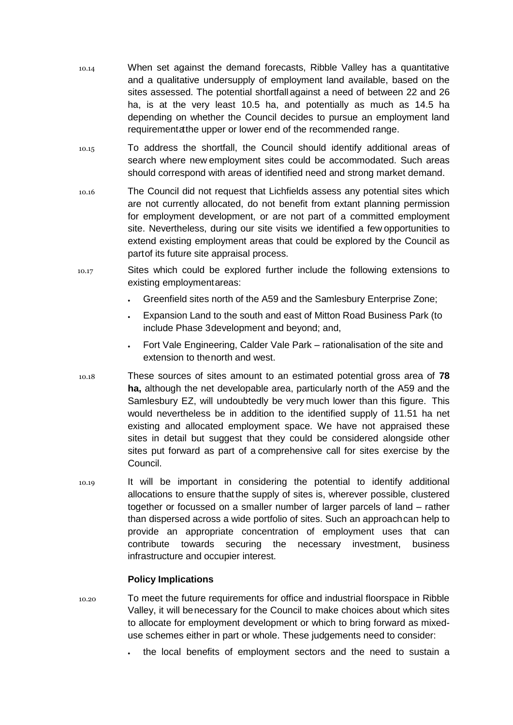- 10.14 When set against the demand forecasts, Ribble Valley has a quantitative and a qualitative undersupply of employment land available, based on the sites assessed. The potential shortfall against a need of between 22 and 26 ha, is at the very least 10.5 ha, and potentially as much as 14.5 ha depending on whether the Council decides to pursue an employment land requirementatthe upper or lower end of the recommended range.
- 10.15 To address the shortfall, the Council should identify additional areas of search where new employment sites could be accommodated. Such areas should correspond with areas of identified need and strong market demand.
- 10.16 The Council did not request that Lichfields assess any potential sites which are not currently allocated, do not benefit from extant planning permission for employment development, or are not part of a committed employment site. Nevertheless, during our site visits we identified a few opportunities to extend existing employment areas that could be explored by the Council as partof its future site appraisal process.
- 10.17 Sites which could be explored further include the following extensions to existing employmentareas:
	- Greenfield sites north of the A59 and the Samlesbury Enterprise Zone;
	- Expansion Land to the south and east of Mitton Road Business Park (to include Phase 3development and beyond; and,
	- Fort Vale Engineering, Calder Vale Park rationalisation of the site and extension to thenorth and west.
- 10.18 These sources of sites amount to an estimated potential gross area of **78 ha,** although the net developable area, particularly north of the A59 and the Samlesbury EZ, will undoubtedly be very much lower than this figure. This would nevertheless be in addition to the identified supply of 11.51 ha net existing and allocated employment space. We have not appraised these sites in detail but suggest that they could be considered alongside other sites put forward as part of a comprehensive call for sites exercise by the Council.
- 10.19 It will be important in considering the potential to identify additional allocations to ensure thatthe supply of sites is, wherever possible, clustered together or focussed on a smaller number of larger parcels of land – rather than dispersed across a wide portfolio of sites. Such an approachcan help to provide an appropriate concentration of employment uses that can contribute towards securing the necessary investment, business infrastructure and occupier interest.

## **Policy Implications**

- 10.20 To meet the future requirements for office and industrial floorspace in Ribble Valley, it will benecessary for the Council to make choices about which sites to allocate for employment development or which to bring forward as mixeduse schemes either in part or whole. These judgements need to consider:
	- the local benefits of employment sectors and the need to sustain a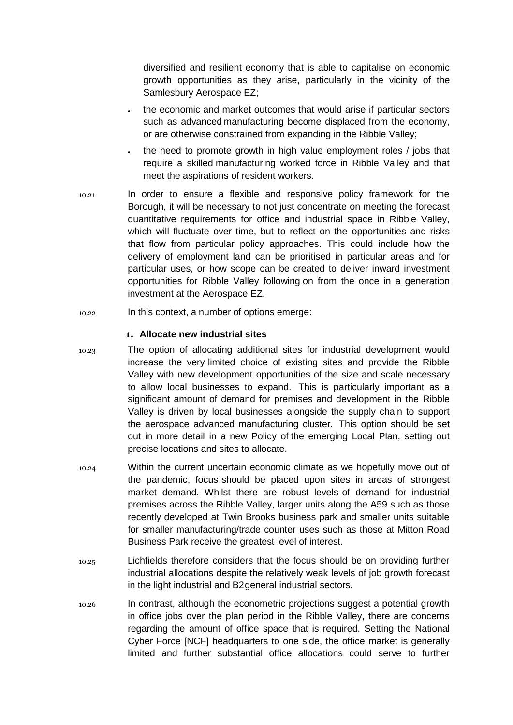diversified and resilient economy that is able to capitalise on economic growth opportunities as they arise, particularly in the vicinity of the Samlesbury Aerospace EZ;

- the economic and market outcomes that would arise if particular sectors such as advanced manufacturing become displaced from the economy, or are otherwise constrained from expanding in the Ribble Valley;
- the need to promote growth in high value employment roles / jobs that require a skilled manufacturing worked force in Ribble Valley and that meet the aspirations of resident workers.
- 10.21 In order to ensure a flexible and responsive policy framework for the Borough, it will be necessary to not just concentrate on meeting the forecast quantitative requirements for office and industrial space in Ribble Valley, which will fluctuate over time, but to reflect on the opportunities and risks that flow from particular policy approaches. This could include how the delivery of employment land can be prioritised in particular areas and for particular uses, or how scope can be created to deliver inward investment opportunities for Ribble Valley following on from the once in a generation investment at the Aerospace EZ.
- 10.22 In this context, a number of options emerge:

#### **1. Allocate new industrial sites**

- 10.23 The option of allocating additional sites for industrial development would increase the very limited choice of existing sites and provide the Ribble Valley with new development opportunities of the size and scale necessary to allow local businesses to expand. This is particularly important as a significant amount of demand for premises and development in the Ribble Valley is driven by local businesses alongside the supply chain to support the aerospace advanced manufacturing cluster. This option should be set out in more detail in a new Policy of the emerging Local Plan, setting out precise locations and sites to allocate.
- 10.24 Within the current uncertain economic climate as we hopefully move out of the pandemic, focus should be placed upon sites in areas of strongest market demand. Whilst there are robust levels of demand for industrial premises across the Ribble Valley, larger units along the A59 such as those recently developed at Twin Brooks business park and smaller units suitable for smaller manufacturing/trade counter uses such as those at Mitton Road Business Park receive the greatest level of interest.
- 10.25 Lichfields therefore considers that the focus should be on providing further industrial allocations despite the relatively weak levels of job growth forecast in the light industrial and B2general industrial sectors.
- 10.26 In contrast, although the econometric projections suggest a potential growth in office jobs over the plan period in the Ribble Valley, there are concerns regarding the amount of office space that is required. Setting the National Cyber Force [NCF] headquarters to one side, the office market is generally limited and further substantial office allocations could serve to further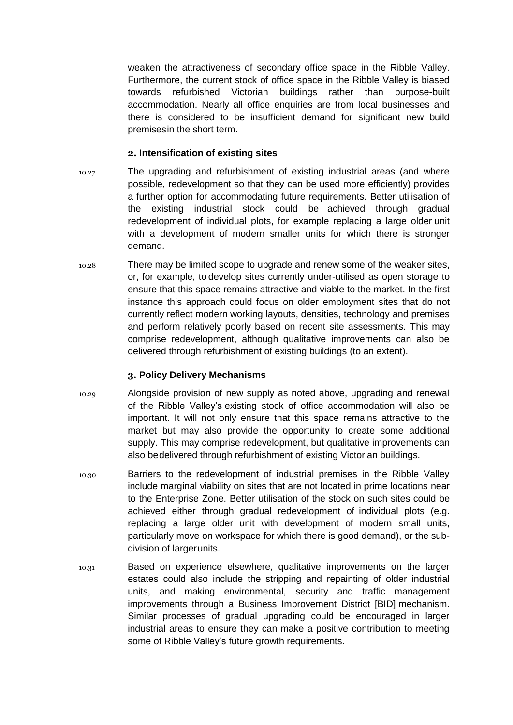weaken the attractiveness of secondary office space in the Ribble Valley. Furthermore, the current stock of office space in the Ribble Valley is biased towards refurbished Victorian buildings rather than purpose-built accommodation. Nearly all office enquiries are from local businesses and there is considered to be insufficient demand for significant new build premisesin the short term.

#### **2. Intensification of existing sites**

- 10.27 The upgrading and refurbishment of existing industrial areas (and where possible, redevelopment so that they can be used more efficiently) provides a further option for accommodating future requirements. Better utilisation of the existing industrial stock could be achieved through gradual redevelopment of individual plots, for example replacing a large older unit with a development of modern smaller units for which there is stronger demand.
- 10.28 There may be limited scope to upgrade and renew some of the weaker sites, or, for example, to develop sites currently under-utilised as open storage to ensure that this space remains attractive and viable to the market. In the first instance this approach could focus on older employment sites that do not currently reflect modern working layouts, densities, technology and premises and perform relatively poorly based on recent site assessments. This may comprise redevelopment, although qualitative improvements can also be delivered through refurbishment of existing buildings (to an extent).

## **3. Policy Delivery Mechanisms**

- 10.29 Alongside provision of new supply as noted above, upgrading and renewal of the Ribble Valley's existing stock of office accommodation will also be important. It will not only ensure that this space remains attractive to the market but may also provide the opportunity to create some additional supply. This may comprise redevelopment, but qualitative improvements can also bedelivered through refurbishment of existing Victorian buildings.
- 10.30 Barriers to the redevelopment of industrial premises in the Ribble Valley include marginal viability on sites that are not located in prime locations near to the Enterprise Zone. Better utilisation of the stock on such sites could be achieved either through gradual redevelopment of individual plots (e.g. replacing a large older unit with development of modern small units, particularly move on workspace for which there is good demand), or the subdivision of largerunits.
- 10.31 Based on experience elsewhere, qualitative improvements on the larger estates could also include the stripping and repainting of older industrial units, and making environmental, security and traffic management improvements through a Business Improvement District [BID] mechanism. Similar processes of gradual upgrading could be encouraged in larger industrial areas to ensure they can make a positive contribution to meeting some of Ribble Valley's future growth requirements.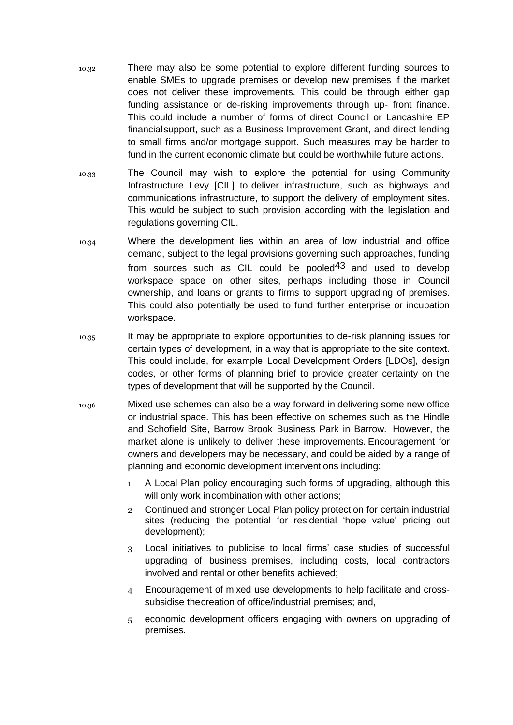- 10.32 There may also be some potential to explore different funding sources to enable SMEs to upgrade premises or develop new premises if the market does not deliver these improvements. This could be through either gap funding assistance or de-risking improvements through up- front finance. This could include a number of forms of direct Council or Lancashire EP financialsupport, such as a Business Improvement Grant, and direct lending to small firms and/or mortgage support. Such measures may be harder to fund in the current economic climate but could be worthwhile future actions.
- 10.33 The Council may wish to explore the potential for using Community Infrastructure Levy [CIL] to deliver infrastructure, such as highways and communications infrastructure, to support the delivery of employment sites. This would be subject to such provision according with the legislation and regulations governing CIL.
- 10.34 Where the development lies within an area of low industrial and office demand, subject to the legal provisions governing such approaches, funding from sources such as CIL could be pooled<sup>43</sup> and used to develop workspace space on other sites, perhaps including those in Council ownership, and loans or grants to firms to support upgrading of premises. This could also potentially be used to fund further enterprise or incubation workspace.
- 10.35 It may be appropriate to explore opportunities to de-risk planning issues for certain types of development, in a way that is appropriate to the site context. This could include, for example, Local Development Orders [LDOs], design codes, or other forms of planning brief to provide greater certainty on the types of development that will be supported by the Council.
- 10.36 Mixed use schemes can also be a way forward in delivering some new office or industrial space. This has been effective on schemes such as the Hindle and Schofield Site, Barrow Brook Business Park in Barrow. However, the market alone is unlikely to deliver these improvements. Encouragement for owners and developers may be necessary, and could be aided by a range of planning and economic development interventions including:
	- 1 A Local Plan policy encouraging such forms of upgrading, although this will only work incombination with other actions;
	- 2 Continued and stronger Local Plan policy protection for certain industrial sites (reducing the potential for residential 'hope value' pricing out development);
	- 3 Local initiatives to publicise to local firms' case studies of successful upgrading of business premises, including costs, local contractors involved and rental or other benefits achieved;
	- 4 Encouragement of mixed use developments to help facilitate and crosssubsidise thecreation of office/industrial premises; and,
	- 5 economic development officers engaging with owners on upgrading of premises.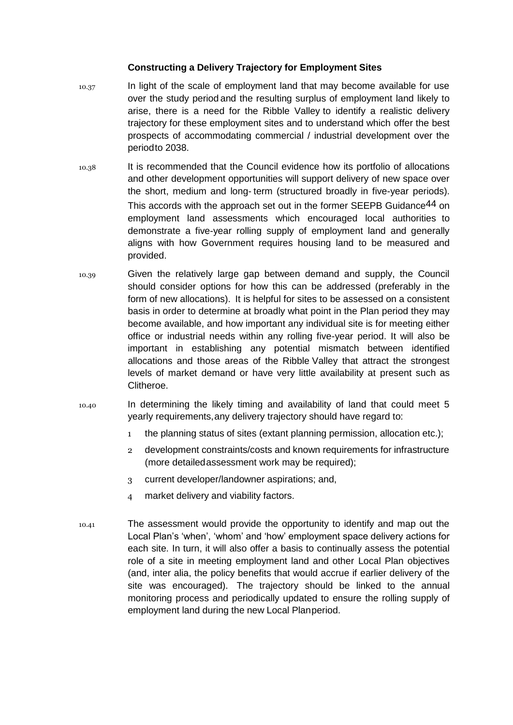## **Constructing a Delivery Trajectory for Employment Sites**

- 10.37 In light of the scale of employment land that may become available for use over the study period and the resulting surplus of employment land likely to arise, there is a need for the Ribble Valley to identify a realistic delivery trajectory for these employment sites and to understand which offer the best prospects of accommodating commercial / industrial development over the periodto 2038.
- 10.38 It is recommended that the Council evidence how its portfolio of allocations and other development opportunities will support delivery of new space over the short, medium and long- term (structured broadly in five-year periods). This accords with the approach set out in the former SEEPB Guidance<sup>44</sup> on employment land assessments which encouraged local authorities to demonstrate a five-year rolling supply of employment land and generally aligns with how Government requires housing land to be measured and provided.
- 10.39 Given the relatively large gap between demand and supply, the Council should consider options for how this can be addressed (preferably in the form of new allocations). It is helpful for sites to be assessed on a consistent basis in order to determine at broadly what point in the Plan period they may become available, and how important any individual site is for meeting either office or industrial needs within any rolling five-year period. It will also be important in establishing any potential mismatch between identified allocations and those areas of the Ribble Valley that attract the strongest levels of market demand or have very little availability at present such as Clitheroe.
- 10.40 In determining the likely timing and availability of land that could meet 5 yearly requirements,any delivery trajectory should have regard to:
	- 1 the planning status of sites (extant planning permission, allocation etc.);
	- 2 development constraints/costs and known requirements for infrastructure (more detailedassessment work may be required);
	- 3 current developer/landowner aspirations; and,
	- 4 market delivery and viability factors.
- 10.41 The assessment would provide the opportunity to identify and map out the Local Plan's 'when', 'whom' and 'how' employment space delivery actions for each site. In turn, it will also offer a basis to continually assess the potential role of a site in meeting employment land and other Local Plan objectives (and, inter alia, the policy benefits that would accrue if earlier delivery of the site was encouraged). The trajectory should be linked to the annual monitoring process and periodically updated to ensure the rolling supply of employment land during the new Local Planperiod.